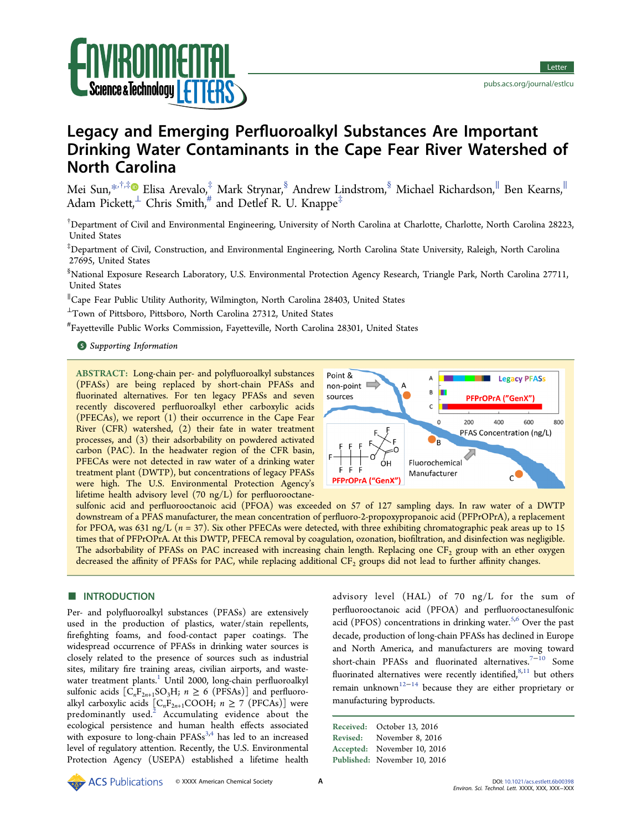

# Legacy and Emerging Perfluoroalkyl Substances Are Important Drinking Water Contaminants in the Cape Fear River Watershed of North Carolina

Mei Sun,\*,†,‡ Elisa Arevalo,‡ Mark Strynar,§ Andrew Lindstrom,§ Michael Richardson,<sup>∥</sup> Ben Kearns,<sup>∥</sup> Adam Pickett, $\perp$  Chris Smith, $\stackrel{\text{*}}{r}$  and Detlef R. U. Knappe<sup>‡</sup>

† Department of Civil and Environmental Engineering, University of North Carolina at Charlotte, Charlotte, North Carolina 28223, United States

‡ Department of Civil, Construction, and Environmental Engineering, North Carolina State University, Raleigh, North Carolina 27695, United States

§ National Exposure Research Laboratory, U.S. Environmental Protection Agency Research, Triangle Park, North Carolina 27711, United States

∥ Cape Fear Public Utility Authority, Wilmington, North Carolina 28403, United States

<sup>⊥</sup>Town of Pittsboro, Pittsboro, North Carolina 27312, United States

# Fayetteville Public Works Commission, Fayetteville, North Carolina 28301, United States

## **S** Supporting Information

ABSTRACT: Long-chain per- and polyfluoroalkyl substances (PFASs) are being replaced by short-chain PFASs and fluorinated alternatives. For ten legacy PFASs and seven recently discovered perfluoroalkyl ether carboxylic acids (PFECAs), we report (1) their occurrence in the Cape Fear River (CFR) watershed, (2) their fate in water treatment processes, and (3) their adsorbability on powdered activated carbon (PAC). In the headwater region of the CFR basin, PFECAs were not detected in raw water of a drinking water treatment plant (DWTP), but concentrations of legacy PFASs were high. The U.S. Environmental Protection Agency's lifetime health advisory level (70 ng/L) for perfluorooctane-



sulfonic acid and perfluorooctanoic acid (PFOA) was exceeded on 57 of 127 sampling days. In raw water of a DWTP downstream of a PFAS manufacturer, the mean concentration of perfluoro-2-propoxypropanoic acid (PFPrOPrA), a replacement for PFOA, was 631 ng/L  $(n = 37)$ . Six other PFECAs were detected, with three exhibiting chromatographic peak areas up to 15 times that of PFPrOPrA. At this DWTP, PFECA removal by coagulation, ozonation, biofiltration, and disinfection was negligible. The adsorbability of PFASs on PAC increased with increasing chain length. Replacing one CF<sub>2</sub> group with an ether oxygen decreased the affinity of PFASs for PAC, while replacing additional CF<sub>2</sub> groups did not lead to further affinity changes.

## **B** INTRODUCTION

Per- and polyfluoroalkyl substances (PFASs) are extensively used in the production of plastics, water/stain repellents, firefighting foams, and food-contact paper coatings. The widespread occurrence of PFASs in drinking water sources is closely related to the presence of sources such as industrial sites, military fire training areas, civilian airports, and wastewater treatment plants.<sup>1</sup> Until 2000, long-chain perfluoroalkyl sulfonic acids  $[C_nF_{2n+1}SO_3H; n \ge 6$  (PFSAs)] and perfluoroalkyl carboxylic acids  $[C_{n}F_{2n+1}COOH; n \ge 7 \text{ (PFCAs)}]$  were predominantly used. $\frac{3}{2}$  Accumulating evidence about the ecological persistence and human health effects associated with exposure to long-chain  $PFASs<sup>3,4</sup>$  has led to an increased level of regulatory attention. Recently, the U.S. Environmental Protection Agency (USEPA) established a lifetime health advisory level (HAL) of 70 ng/L for the sum of perfluorooctanoic acid (PFOA) and perfluorooctanesulfonic acid (PFOS) concentrations in drinking water.<sup>5,6</sup> Over the past decade, production of long-chain PFASs has declined in Europe and North America, and manufacturers are moving toward short-chain PFASs and fluorinated alternatives.<sup>7−10</sup> Some fluorinated alternatives were recently identified, $8,11$  but others remain unknown<sup>12−14</sup> because they are either proprietary or manufacturing byproducts.

Received: October 13, 2016 Revised: November 8, 2016 Accepted: November 10, 2016 Published: November 10, 2016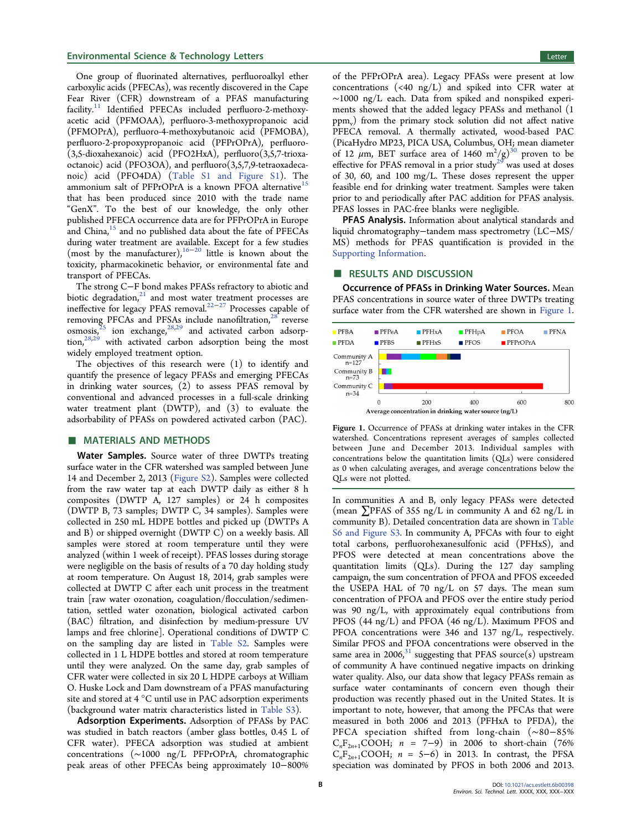One group of fluorinated alternatives, perfluoroalkyl ether carboxylic acids (PFECAs), was recently discovered in the Cape Fear River (CFR) downstream of a PFAS manufacturing facility.<sup>11</sup> Identified PFECAs included perfluoro-2-methoxyacetic acid (PFMOAA), perfluoro-3-methoxypropanoic acid (PFMOPrA), perfluoro-4-methoxybutanoic acid (PFMOBA), perfluoro-2-propoxypropanoic acid (PFPrOPrA), perfluoro- (3,5-dioxahexanoic) acid (PFO2HxA), perfluoro(3,5,7-trioxaoctanoic) acid (PFO3OA), and perfluoro(3,5,7,9-tetraoxadecanoic) acid (PFO4DA) (Table S1 and Figure S1). The ammonium salt of PFPrOPrA is a known PFOA alternative<sup>15</sup> that has been produced since 2010 with the trade name "GenX". To the best of our knowledge, the only other published PFECA occurrence data are for PFPrOPrA in Europe and China,<sup>15</sup> and no published data about the fate of PFECAs during water treatment are available. Except for a few studies (most by the manufacturer),<sup>16−20</sup> little is known about the toxicity, pharmacokinetic behavior, or environmental fate and transport of PFECAs.

The strong C−F bond makes PFASs refractory to abiotic and biotic degradation, $21$  and most water treatment processes are ineffective for legacy PFAS removal.22−<sup>27</sup> Processes capable of removing PFCAs and PFSAs include nanofiltration,<sup>28</sup> reverse osmosis, $25$  ion exchange, $28,29$  and activated carbon adsorption, $28,29$  with activated carbon adsorption being the most widely employed treatment option.

The objectives of this research were (1) to identify and quantify the presence of legacy PFASs and emerging PFECAs in drinking water sources, (2) to assess PFAS removal by conventional and advanced processes in a full-scale drinking water treatment plant (DWTP), and (3) to evaluate the adsorbability of PFASs on powdered activated carbon (PAC).

## ■ MATERIALS AND METHODS

Water Samples. Source water of three DWTPs treating surface water in the CFR watershed was sampled between June 14 and December 2, 2013 (Figure S2). Samples were collected from the raw water tap at each DWTP daily as either 8 h composites (DWTP A, 127 samples) or 24 h composites (DWTP B, 73 samples; DWTP C, 34 samples). Samples were collected in 250 mL HDPE bottles and picked up (DWTPs A and B) or shipped overnight (DWTP C) on a weekly basis. All samples were stored at room temperature until they were analyzed (within 1 week of receipt). PFAS losses during storage were negligible on the basis of results of a 70 day holding study at room temperature. On August 18, 2014, grab samples were collected at DWTP C after each unit process in the treatment train [raw water ozonation, coagulation/flocculation/sedimentation, settled water ozonation, biological activated carbon (BAC) filtration, and disinfection by medium-pressure UV lamps and free chlorine]. Operational conditions of DWTP C on the sampling day are listed in Table S2. Samples were collected in 1 L HDPE bottles and stored at room temperature until they were analyzed. On the same day, grab samples of CFR water were collected in six 20 L HDPE carboys at William O. Huske Lock and Dam downstream of a PFAS manufacturing site and stored at 4 °C until use in PAC adsorption experiments (background water matrix characteristics listed in Table S3).

Adsorption Experiments. Adsorption of PFASs by PAC was studied in batch reactors (amber glass bottles, 0.45 L of CFR water). PFECA adsorption was studied at ambient concentrations (∼1000 ng/L PFPrOPrA, chromatographic peak areas of other PFECAs being approximately 10−800%

of the PFPrOPrA area). Legacy PFASs were present at low concentrations  $(\langle 40 \nvert n\text{g/L})$  and spiked into CFR water at ∼1000 ng/L each. Data from spiked and nonspiked experiments showed that the added legacy PFASs and methanol (1  $ppm_v$ ) from the primary stock solution did not affect native PFECA removal. A thermally activated, wood-based PAC (PicaHydro MP23, PICA USA, Columbus, OH; mean diameter of 12  $\mu$ m, BET surface area of 1460 m<sup>2</sup>/g)<sup>30</sup> proven to be effective for PFAS removal in a prior study<sup>29</sup> was used at doses of 30, 60, and 100 mg/L. These doses represent the upper feasible end for drinking water treatment. Samples were taken prior to and periodically after PAC addition for PFAS analysis. PFAS losses in PAC-free blanks were negligible.

PFAS Analysis. Information about analytical standards and liquid chromatography−tandem mass spectrometry (LC−MS/ MS) methods for PFAS quantification is provided in the Supporting Information.

#### ■ RESULTS AND DISCUSSION

Occurrence of PFASs in Drinking Water Sources. Mean PFAS concentrations in source water of three DWTPs treating surface water from the CFR watershed are shown in Figure 1.



Figure 1. Occurrence of PFASs at drinking water intakes in the CFR watershed. Concentrations represent averages of samples collected between June and December 2013. Individual samples with concentrations below the quantitation limits (QLs) were considered as 0 when calculating averages, and average concentrations below the QLs were not plotted.

In communities A and B, only legacy PFASs were detected (mean  $\Sigma$ PFAS of 355 ng/L in community A and 62 ng/L in community B). Detailed concentration data are shown in Table S6 and Figure S3. In community A, PFCAs with four to eight total carbons, perfluorohexanesulfonic acid (PFHxS), and PFOS were detected at mean concentrations above the quantitation limits (QLs). During the 127 day sampling campaign, the sum concentration of PFOA and PFOS exceeded the USEPA HAL of 70 ng/L on 57 days. The mean sum concentration of PFOA and PFOS over the entire study period was 90 ng/L, with approximately equal contributions from PFOS (44 ng/L) and PFOA (46 ng/L). Maximum PFOS and PFOA concentrations were 346 and 137 ng/L, respectively. Similar PFOS and PFOA concentrations were observed in the same area in 2006, $31$  suggesting that PFAS source(s) upstream of community A have continued negative impacts on drinking water quality. Also, our data show that legacy PFASs remain as surface water contaminants of concern even though their production was recently phased out in the United States. It is important to note, however, that among the PFCAs that were measured in both 2006 and 2013 (PFHxA to PFDA), the PFCA speciation shifted from long-chain (∼80−85%  $C_nF_{2n+1}COOH$ ;  $n = 7-9$ ) in 2006 to short-chain (76%  $C_nF_{2n+1}COOH$ ;  $n = 5-6$ ) in 2013. In contrast, the PFSA speciation was dominated by PFOS in both 2006 and 2013.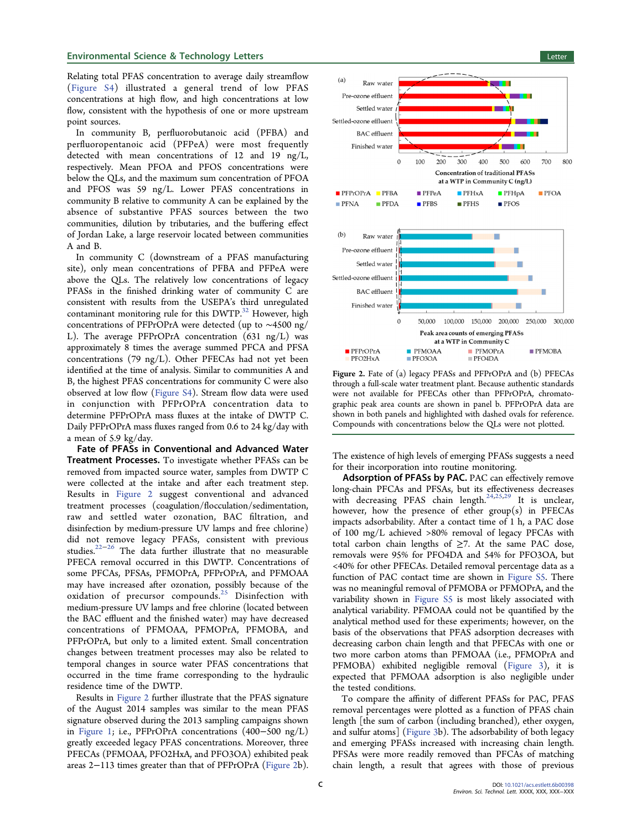Relating total PFAS concentration to average daily streamflow (Figure S4) illustrated a general trend of low PFAS concentrations at high flow, and high concentrations at low flow, consistent with the hypothesis of one or more upstream point sources.

In community B, perfluorobutanoic acid (PFBA) and perfluoropentanoic acid (PFPeA) were most frequently detected with mean concentrations of 12 and 19 ng/L, respectively. Mean PFOA and PFOS concentrations were below the QLs, and the maximum sum concentration of PFOA and PFOS was 59 ng/L. Lower PFAS concentrations in community B relative to community A can be explained by the absence of substantive PFAS sources between the two communities, dilution by tributaries, and the buffering effect of Jordan Lake, a large reservoir located between communities A and B.

In community C (downstream of a PFAS manufacturing site), only mean concentrations of PFBA and PFPeA were above the QLs. The relatively low concentrations of legacy PFASs in the finished drinking water of community C are consistent with results from the USEPA's third unregulated contaminant monitoring rule for this DWTP.<sup>32</sup> However, high concentrations of PFPrOPrA were detected (up to ∼4500 ng/ L). The average PFPrOPrA concentration (631 ng/L) was approximately 8 times the average summed PFCA and PFSA concentrations (79 ng/L). Other PFECAs had not yet been identified at the time of analysis. Similar to communities A and B, the highest PFAS concentrations for community C were also observed at low flow (Figure S4). Stream flow data were used in conjunction with PFPrOPrA concentration data to determine PFPrOPrA mass fluxes at the intake of DWTP C. Daily PFPrOPrA mass fluxes ranged from 0.6 to 24 kg/day with a mean of 5.9 kg/day.

Fate of PFASs in Conventional and Advanced Water Treatment Processes. To investigate whether PFASs can be removed from impacted source water, samples from DWTP C were collected at the intake and after each treatment step. Results in Figure 2 suggest conventional and advanced treatment processes (coagulation/flocculation/sedimentation, raw and settled water ozonation, BAC filtration, and disinfection by medium-pressure UV lamps and free chlorine) did not remove legacy PFASs, consistent with previous studies.22−<sup>26</sup> The data further illustrate that no measurable PFECA removal occurred in this DWTP. Concentrations of some PFCAs, PFSAs, PFMOPrA, PFPrOPrA, and PFMOAA may have increased after ozonation, possibly because of the oxidation of precursor compounds.<sup>25</sup> Disinfection with medium-pressure UV lamps and free chlorine (located between the BAC effluent and the finished water) may have decreased concentrations of PFMOAA, PFMOPrA, PFMOBA, and PFPrOPrA, but only to a limited extent. Small concentration changes between treatment processes may also be related to temporal changes in source water PFAS concentrations that occurred in the time frame corresponding to the hydraulic residence time of the DWTP.

Results in Figure 2 further illustrate that the PFAS signature of the August 2014 samples was similar to the mean PFAS signature observed during the 2013 sampling campaigns shown in Figure 1; i.e., PFPrOPrA concentrations (400−500 ng/L) greatly exceeded legacy PFAS concentrations. Moreover, three PFECAs (PFMOAA, PFO2HxA, and PFO3OA) exhibited peak areas 2−113 times greater than that of PFPrOPrA (Figure 2b).



Figure 2. Fate of (a) legacy PFASs and PFPrOPrA and (b) PFECAs through a full-scale water treatment plant. Because authentic standards were not available for PFECAs other than PFPrOPrA, chromatographic peak area counts are shown in panel b. PFPrOPrA data are shown in both panels and highlighted with dashed ovals for reference. Compounds with concentrations below the QLs were not plotted.

The existence of high levels of emerging PFASs suggests a need for their incorporation into routine monitoring.

Adsorption of PFASs by PAC. PAC can effectively remove long-chain PFCAs and PFSAs, but its effectiveness decreases with decreasing PFAS chain length.<sup>24,25,29</sup> It is unclear, however, how the presence of ether  $group(s)$  in PFECAs impacts adsorbability. After a contact time of 1 h, a PAC dose of 100 mg/L achieved >80% removal of legacy PFCAs with total carbon chain lengths of  $\geq$ 7. At the same PAC dose, removals were 95% for PFO4DA and 54% for PFO3OA, but <40% for other PFECAs. Detailed removal percentage data as a function of PAC contact time are shown in Figure S5. There was no meaningful removal of PFMOBA or PFMOPrA, and the variability shown in Figure S5 is most likely associated with analytical variability. PFMOAA could not be quantified by the analytical method used for these experiments; however, on the basis of the observations that PFAS adsorption decreases with decreasing carbon chain length and that PFECAs with one or two more carbon atoms than PFMOAA (i.e., PFMOPrA and PFMOBA) exhibited negligible removal (Figure 3), it is expected that PFMOAA adsorption is also negligible under the tested conditions.

To compare the affinity of different PFASs for PAC, PFAS removal percentages were plotted as a function of PFAS chain length [the sum of carbon (including branched), ether oxygen, and sulfur atoms] (Figure 3b). The adsorbability of both legacy and emerging PFASs increased with increasing chain length. PFSAs were more readily removed than PFCAs of matching chain length, a result that agrees with those of previous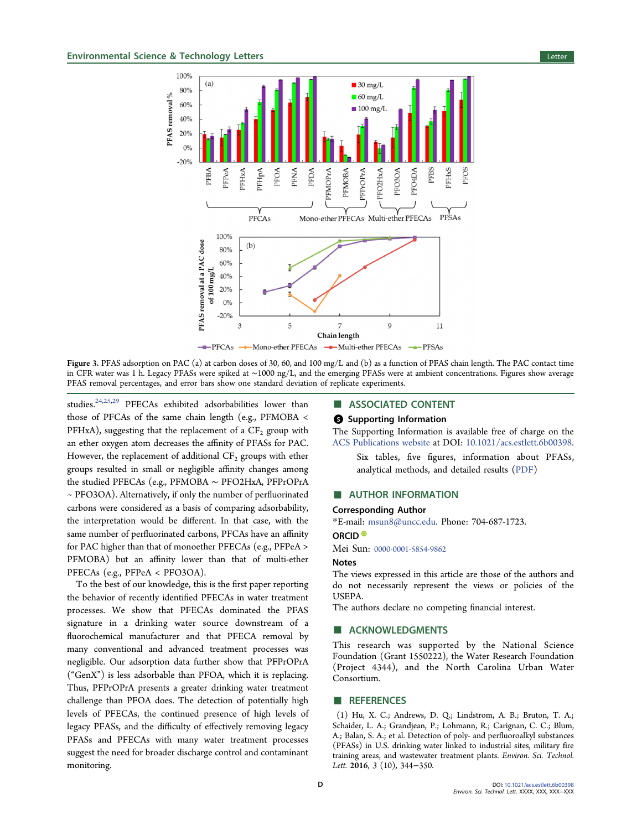

Figure 3. PFAS adsorption on PAC (a) at carbon doses of 30, 60, and 100 mg/L and (b) as a function of PFAS chain length. The PAC contact time in CFR water was 1 h. Legacy PFASs were spiked at ∼1000 ng/L, and the emerging PFASs were at ambient concentrations. Figures show average PFAS removal percentages, and error bars show one standard deviation of replicate experiments.

studies.<sup>24,25,29</sup> PFECAs exhibited adsorbabilities lower than those of PFCAs of the same chain length (e.g., PFMOBA < PFHxA), suggesting that the replacement of a  $CF_2$  group with an ether oxygen atom decreases the affinity of PFASs for PAC. However, the replacement of additional  $CF<sub>2</sub>$  groups with ether groups resulted in small or negligible affinity changes among the studied PFECAs (e.g., PFMOBA ∼ PFO2HxA, PFPrOPrA ~ PFO3OA). Alternatively, if only the number of perfluorinated carbons were considered as a basis of comparing adsorbability, the interpretation would be different. In that case, with the same number of perfluorinated carbons, PFCAs have an affinity for PAC higher than that of monoether PFECAs (e.g., PFPeA > PFMOBA) but an affinity lower than that of multi-ether PFECAs (e.g., PFPeA < PFO3OA).

To the best of our knowledge, this is the first paper reporting the behavior of recently identified PFECAs in water treatment processes. We show that PFECAs dominated the PFAS signature in a drinking water source downstream of a fluorochemical manufacturer and that PFECA removal by many conventional and advanced treatment processes was negligible. Our adsorption data further show that PFPrOPrA ("GenX") is less adsorbable than PFOA, which it is replacing. Thus, PFPrOPrA presents a greater drinking water treatment challenge than PFOA does. The detection of potentially high levels of PFECAs, the continued presence of high levels of legacy PFASs, and the difficulty of effectively removing legacy PFASs and PFECAs with many water treatment processes suggest the need for broader discharge control and contaminant monitoring.

## ■ ASSOCIATED CONTENT

### **6** Supporting Information

The Supporting Information is available free of charge on the ACS Publications website at DOI: 10.1021/acs.estlett.6b00398.

Six tables, five figures, information about PFASs, analytical methods, and detailed results (PDF)

#### ■ AUTHOR INFORMATION

#### Corresponding Author

\*E-mail: msun8@uncc.edu. Phone: 704-687-1723.

#### ORCID<sup>®</sup>

Mei Sun: 0000-0001-5854-9862

#### **Notes**

The views expressed in this article are those of the authors and do not necessarily represent the views or policies of the USEPA.

The authors declare no competing financial interest.

#### ■ ACKNOWLEDGMENTS

This research was supported by the National Science Foundation (Grant 1550222), the Water Research Foundation (Project 4344), and the North Carolina Urban Water Consortium.

## ■ REFERENCES

(1) Hu, X. C.; Andrews, D. Q.; Lindstrom, A. B.; Bruton, T. A.; Schaider, L. A.; Grandjean, P.; Lohmann, R.; Carignan, C. C.; Blum, A.; Balan, S. A.; et al. Detection of poly- and perfluoroalkyl substances (PFASs) in U.S. drinking water linked to industrial sites, military fire training areas, and wastewater treatment plants. Environ. Sci. Technol. Lett. 2016, 3 (10), 344−350.